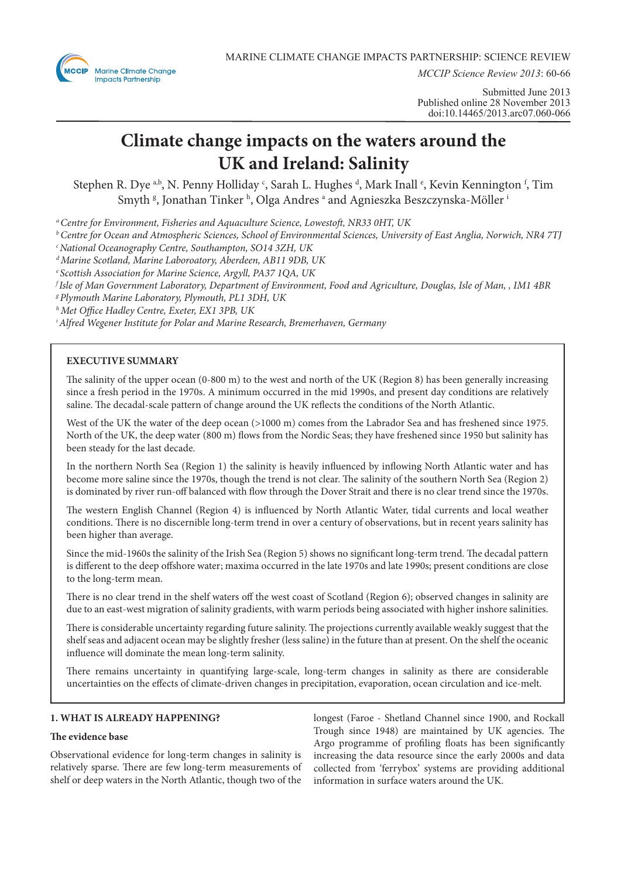

*MCCIP Science Review 2013*: 60-66

Submitted June 2013 Published online 28 November 2013 doi:10.14465/2013.arc07.060-066

# **Climate change impacts on the waters around the UK and Ireland: Salinity**

Stephen R. Dye <sup>a,b</sup>, N. Penny Holliday <sup>c</sup>, Sarah L. Hughes <sup>d</sup>, Mark Inall <sup>e</sup>, Kevin Kennington <sup>f</sup>, Tim Smyth  $\mathsf{^g},$  Jonathan Tinker  $\mathsf{^h},$  Olga Andres  $\mathsf{^a}$  and Agnieszka Beszczynska-Möller  $\mathsf{^i}$ 

*a Centre for Environment, Fisheries and Aquaculture Science, Lowestoft, NR33 0HT, UK*

*b Centre for Ocean and Atmospheric Sciences, School of Environmental Sciences, University of East Anglia, Norwich, NR4 7TJ*

*c National Oceanography Centre, Southampton, SO14 3ZH, UK*

*d Marine Scotland, Marine Laboroatory, Aberdeen, AB11 9DB, UK*

*e Scottish Association for Marine Science, Argyll, PA37 1QA, UK*

*f Isle of Man Government Laboratory, Department of Environment, Food and Agriculture, Douglas, Isle of Man, , IM1 4BR*

*g Plymouth Marine Laboratory, Plymouth, PL1 3DH, UK*

*h Met Office Hadley Centre, Exeter, EX1 3PB, UK*

*i Alfred Wegener Institute for Polar and Marine Research, Bremerhaven, Germany*

# **EXECUTIVE SUMMARY**

The salinity of the upper ocean (0-800 m) to the west and north of the UK (Region 8) has been generally increasing since a fresh period in the 1970s. A minimum occurred in the mid 1990s, and present day conditions are relatively saline. The decadal-scale pattern of change around the UK reflects the conditions of the North Atlantic.

West of the UK the water of the deep ocean (>1000 m) comes from the Labrador Sea and has freshened since 1975. North of the UK, the deep water (800 m) flows from the Nordic Seas; they have freshened since 1950 but salinity has been steady for the last decade.

In the northern North Sea (Region 1) the salinity is heavily influenced by inflowing North Atlantic water and has become more saline since the 1970s, though the trend is not clear. The salinity of the southern North Sea (Region 2) is dominated by river run-off balanced with flow through the Dover Strait and there is no clear trend since the 1970s.

The western English Channel (Region 4) is influenced by North Atlantic Water, tidal currents and local weather conditions. There is no discernible long-term trend in over a century of observations, but in recent years salinity has been higher than average.

Since the mid-1960s the salinity of the Irish Sea (Region 5) shows no significant long-term trend. The decadal pattern is different to the deep offshore water; maxima occurred in the late 1970s and late 1990s; present conditions are close to the long-term mean.

There is no clear trend in the shelf waters off the west coast of Scotland (Region 6); observed changes in salinity are due to an east-west migration of salinity gradients, with warm periods being associated with higher inshore salinities.

There is considerable uncertainty regarding future salinity. The projections currently available weakly suggest that the shelf seas and adjacent ocean may be slightly fresher (less saline) in the future than at present. On the shelf the oceanic influence will dominate the mean long-term salinity.

There remains uncertainty in quantifying large-scale, long-term changes in salinity as there are considerable uncertainties on the effects of climate-driven changes in precipitation, evaporation, ocean circulation and ice-melt.

# **1. WHAT IS ALREADY HAPPENING?**

## **The evidence base**

Observational evidence for long-term changes in salinity is relatively sparse. There are few long-term measurements of shelf or deep waters in the North Atlantic, though two of the

longest (Faroe - Shetland Channel since 1900, and Rockall Trough since 1948) are maintained by UK agencies. The Argo programme of profiling floats has been significantly increasing the data resource since the early 2000s and data collected from 'ferrybox' systems are providing additional information in surface waters around the UK.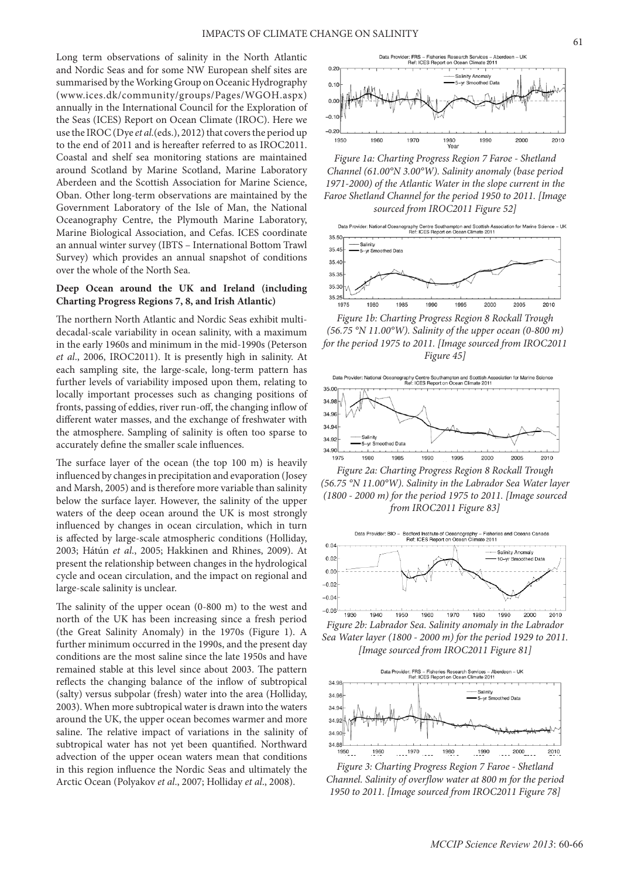Long term observations of salinity in the North Atlantic and Nordic Seas and for some NW European shelf sites are summarised by the Working Group on Oceanic Hydrography (www.ices.dk/community/groups/Pages/WGOH.aspx) annually in the International Council for the Exploration of the Seas (ICES) Report on Ocean Climate (IROC). Here we use the IROC (Dye *et al*.(eds.), 2012) that covers the period up to the end of 2011 and is hereafter referred to as IROC2011. Coastal and shelf sea monitoring stations are maintained around Scotland by Marine Scotland, Marine Laboratory Aberdeen and the Scottish Association for Marine Science, Oban. Other long-term observations are maintained by the Government Laboratory of the Isle of Man, the National Oceanography Centre, the Plymouth Marine Laboratory, Marine Biological Association, and Cefas. ICES coordinate an annual winter survey (IBTS – International Bottom Trawl Survey) which provides an annual snapshot of conditions over the whole of the North Sea.

## **Deep Ocean around the UK and Ireland (including Charting Progress Regions 7, 8, and Irish Atlantic)**

The northern North Atlantic and Nordic Seas exhibit multidecadal-scale variability in ocean salinity, with a maximum in the early 1960s and minimum in the mid-1990s (Peterson *et al*., 2006, IROC2011). It is presently high in salinity. At each sampling site, the large-scale, long-term pattern has further levels of variability imposed upon them, relating to locally important processes such as changing positions of fronts, passing of eddies, river run-off, the changing inflow of different water masses, and the exchange of freshwater with the atmosphere. Sampling of salinity is often too sparse to accurately define the smaller scale influences.

The surface layer of the ocean (the top 100 m) is heavily influenced by changes in precipitation and evaporation (Josey and Marsh, 2005) and is therefore more variable than salinity below the surface layer. However, the salinity of the upper waters of the deep ocean around the UK is most strongly influenced by changes in ocean circulation, which in turn is affected by large-scale atmospheric conditions (Holliday, 2003; Hátún *et al*., 2005; Hakkinen and Rhines, 2009). At present the relationship between changes in the hydrological cycle and ocean circulation, and the impact on regional and large-scale salinity is unclear.

The salinity of the upper ocean (0-800 m) to the west and north of the UK has been increasing since a fresh period (the Great Salinity Anomaly) in the 1970s (Figure 1). A further minimum occurred in the 1990s, and the present day conditions are the most saline since the late 1950s and have remained stable at this level since about 2003. The pattern reflects the changing balance of the inflow of subtropical (salty) versus subpolar (fresh) water into the area (Holliday, 2003). When more subtropical water is drawn into the waters around the UK, the upper ocean becomes warmer and more saline. The relative impact of variations in the salinity of subtropical water has not yet been quantified. Northward advection of the upper ocean waters mean that conditions in this region influence the Nordic Seas and ultimately the Arctic Ocean (Polyakov *et al*., 2007; Holliday *et al*., 2008).



*Figure 1a: Charting Progress Region 7 Faroe - Shetland Channel (61.00°N 3.00°W). Salinity anomaly (base period 1971-2000) of the Atlantic Water in the slope current in the Faroe Shetland Channel for the period 1950 to 2011. [Image sourced from IROC2011 Figure 52]* 



*Figure 1b: Charting Progress Region 8 Rockall Trough (56.75 °N 11.00°W). Salinity of the upper ocean (0-800 m) for the period 1975 to 2011. [Image sourced from IROC2011 Figure 45]*



*Figure 2a: Charting Progress Region 8 Rockall Trough (56.75 °N 11.00°W). Salinity in the Labrador Sea Water layer (1800 - 2000 m) for the period 1975 to 2011. [Image sourced from IROC2011 Figure 83]*



*Figure 2b: Labrador Sea. Salinity anomaly in the Labrador Sea Water layer (1800 - 2000 m) for the period 1929 to 2011. [Image sourced from IROC2011 Figure 81]*



*Figure 3: Charting Progress Region 7 Faroe - Shetland Channel. Salinity of overflow water at 800 m for the period 1950 to 2011. [Image sourced from IROC2011 Figure 78]*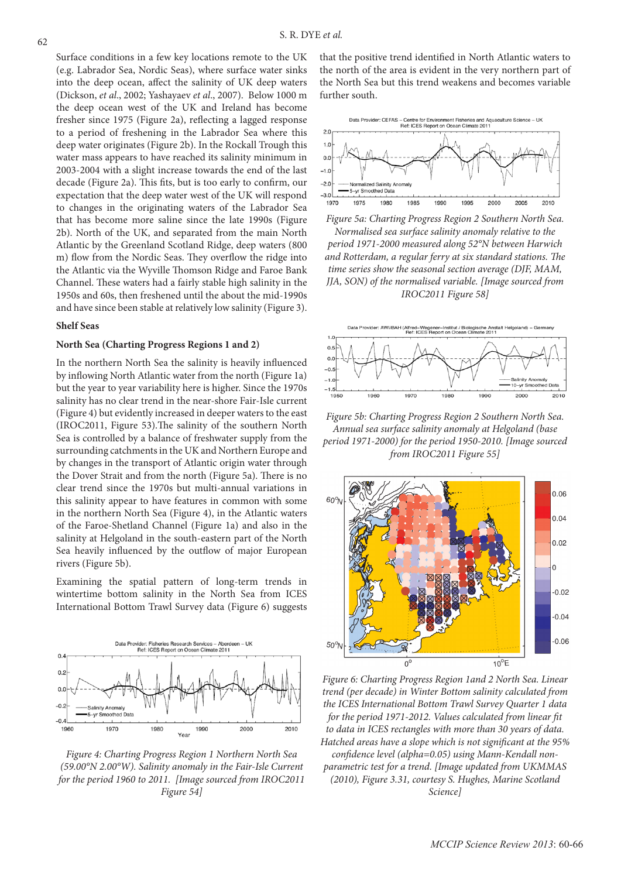Surface conditions in a few key locations remote to the UK (e.g. Labrador Sea, Nordic Seas), where surface water sinks into the deep ocean, affect the salinity of UK deep waters (Dickson, *et al*., 2002; Yashayaev *et al*., 2007). Below 1000 m the deep ocean west of the UK and Ireland has become fresher since 1975 (Figure 2a), reflecting a lagged response to a period of freshening in the Labrador Sea where this deep water originates (Figure 2b). In the Rockall Trough this water mass appears to have reached its salinity minimum in 2003-2004 with a slight increase towards the end of the last decade (Figure 2a). This fits, but is too early to confirm, our expectation that the deep water west of the UK will respond to changes in the originating waters of the Labrador Sea that has become more saline since the late 1990s (Figure 2b). North of the UK, and separated from the main North Atlantic by the Greenland Scotland Ridge, deep waters (800 m) flow from the Nordic Seas. They overflow the ridge into the Atlantic via the Wyville Thomson Ridge and Faroe Bank Channel. These waters had a fairly stable high salinity in the 1950s and 60s, then freshened until the about the mid-1990s and have since been stable at relatively low salinity (Figure 3).

#### **Shelf Seas**

#### **North Sea (Charting Progress Regions 1 and 2)**

In the northern North Sea the salinity is heavily influenced by inflowing North Atlantic water from the north (Figure 1a) but the year to year variability here is higher. Since the 1970s salinity has no clear trend in the near-shore Fair-Isle current (Figure 4) but evidently increased in deeper waters to the east (IROC2011, Figure 53).The salinity of the southern North Sea is controlled by a balance of freshwater supply from the surrounding catchments in the UK and Northern Europe and by changes in the transport of Atlantic origin water through the Dover Strait and from the north (Figure 5a). There is no clear trend since the 1970s but multi-annual variations in this salinity appear to have features in common with some in the northern North Sea (Figure 4), in the Atlantic waters of the Faroe-Shetland Channel (Figure 1a) and also in the salinity at Helgoland in the south-eastern part of the North Sea heavily influenced by the outflow of major European rivers (Figure 5b).

Examining the spatial pattern of long-term trends in wintertime bottom salinity in the North Sea from ICES International Bottom Trawl Survey data (Figure 6) suggests



*Figure 4: Charting Progress Region 1 Northern North Sea (59.00°N 2.00°W). Salinity anomaly in the Fair-Isle Current for the period 1960 to 2011. [Image sourced from IROC2011 Figure 54]*

that the positive trend identified in North Atlantic waters to the north of the area is evident in the very northern part of the North Sea but this trend weakens and becomes variable further south.



*Figure 5a: Charting Progress Region 2 Southern North Sea. Normalised sea surface salinity anomaly relative to the period 1971-2000 measured along 52°N between Harwich and Rotterdam, a regular ferry at six standard stations. The time series show the seasonal section average (DJF, MAM, JJA, SON) of the normalised variable. [Image sourced from IROC2011 Figure 58]*

(Alfred–Wegener–Institut / Biologische Ans)<br>Ref: ICES Report on Ocean Climate 2011



*Figure 5b: Charting Progress Region 2 Southern North Sea. Annual sea surface salinity anomaly at Helgoland (base period 1971-2000) for the period 1950-2010. [Image sourced from IROC2011 Figure 55]*



*Figure 6: Charting Progress Region 1and 2 North Sea. Linear trend (per decade) in Winter Bottom salinity calculated from the ICES International Bottom Trawl Survey Quarter 1 data for the period 1971-2012. Values calculated from linear fit to data in ICES rectangles with more than 30 years of data. Hatched areas have a slope which is not significant at the 95% confidence level (alpha=0.05) using Mann-Kendall nonparametric test for a trend. [Image updated from UKMMAS (2010), Figure 3.31, courtesy S. Hughes, Marine Scotland Science]*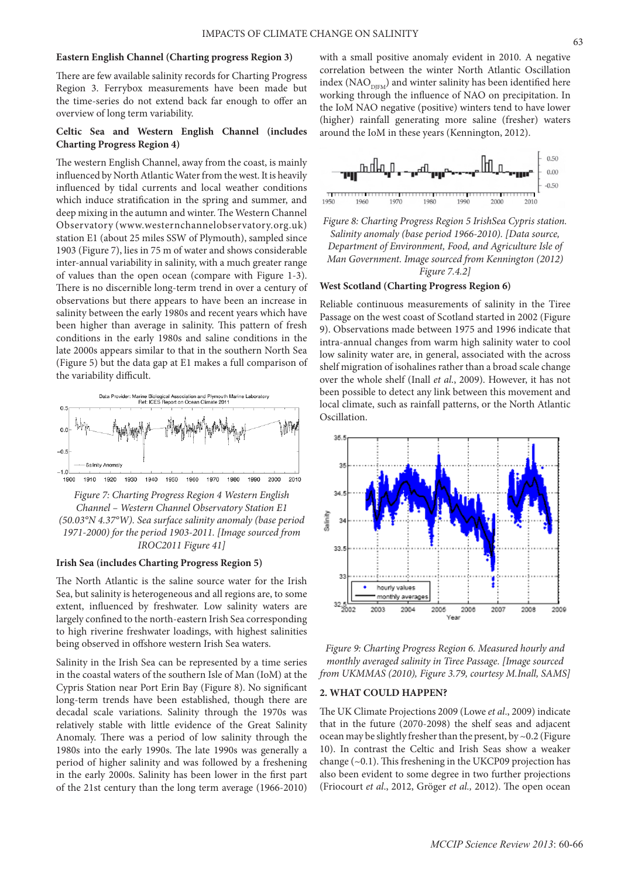#### **Eastern English Channel (Charting progress Region 3)**

There are few available salinity records for Charting Progress Region 3. Ferrybox measurements have been made but the time-series do not extend back far enough to offer an overview of long term variability.

# **Celtic Sea and Western English Channel (includes Charting Progress Region 4)**

The western English Channel, away from the coast, is mainly influenced by North Atlantic Water from the west. It is heavily influenced by tidal currents and local weather conditions which induce stratification in the spring and summer, and deep mixing in the autumn and winter. The Western Channel Observatory (www.westernchannelobservatory.org.uk) station E1 (about 25 miles SSW of Plymouth), sampled since 1903 (Figure 7), lies in 75 m of water and shows considerable inter-annual variability in salinity, with a much greater range of values than the open ocean (compare with Figure 1-3). There is no discernible long-term trend in over a century of observations but there appears to have been an increase in salinity between the early 1980s and recent years which have been higher than average in salinity. This pattern of fresh conditions in the early 1980s and saline conditions in the late 2000s appears similar to that in the southern North Sea (Figure 5) but the data gap at E1 makes a full comparison of the variability difficult.



*Figure 7: Charting Progress Region 4 Western English Channel – Western Channel Observatory Station E1 (50.03°N 4.37°W). Sea surface salinity anomaly (base period 1971-2000) for the period 1903-2011. [Image sourced from IROC2011 Figure 41]*

### **Irish Sea (includes Charting Progress Region 5)**

The North Atlantic is the saline source water for the Irish Sea, but salinity is heterogeneous and all regions are, to some extent, influenced by freshwater. Low salinity waters are largely confined to the north-eastern Irish Sea corresponding to high riverine freshwater loadings, with highest salinities being observed in offshore western Irish Sea waters.

Salinity in the Irish Sea can be represented by a time series in the coastal waters of the southern Isle of Man (IoM) at the Cypris Station near Port Erin Bay (Figure 8). No significant long-term trends have been established, though there are decadal scale variations. Salinity through the 1970s was relatively stable with little evidence of the Great Salinity Anomaly. There was a period of low salinity through the 1980s into the early 1990s. The late 1990s was generally a period of higher salinity and was followed by a freshening in the early 2000s. Salinity has been lower in the first part of the 21st century than the long term average (1966-2010)

with a small positive anomaly evident in 2010. A negative correlation between the winter North Atlantic Oscillation index (NAO $_{\text{DIFM}}$ ) and winter salinity has been identified here working through the influence of NAO on precipitation. In the IoM NAO negative (positive) winters tend to have lower (higher) rainfall generating more saline (fresher) waters around the IoM in these years (Kennington, 2012).





#### **West Scotland (Charting Progress Region 6)**

Reliable continuous measurements of salinity in the Tiree Passage on the west coast of Scotland started in 2002 (Figure 9). Observations made between 1975 and 1996 indicate that intra-annual changes from warm high salinity water to cool low salinity water are, in general, associated with the across shelf migration of isohalines rather than a broad scale change over the whole shelf (Inall *et al*., 2009). However, it has not been possible to detect any link between this movement and local climate, such as rainfall patterns, or the North Atlantic Oscillation.



*Figure 9: Charting Progress Region 6. Measured hourly and monthly averaged salinity in Tiree Passage. [Image sourced from UKMMAS (2010), Figure 3.79, courtesy M.Inall, SAMS]*

## **2. WHAT COULD HAPPEN?**

The UK Climate Projections 2009 (Lowe *et al*., 2009) indicate that in the future (2070-2098) the shelf seas and adjacent ocean may be slightly fresher than the present, by ~0.2 (Figure 10). In contrast the Celtic and Irish Seas show a weaker change  $(\sim 0.1)$ . This freshening in the UKCP09 projection has also been evident to some degree in two further projections (Friocourt *et al*., 2012, Gröger *et al.,* 2012). The open ocean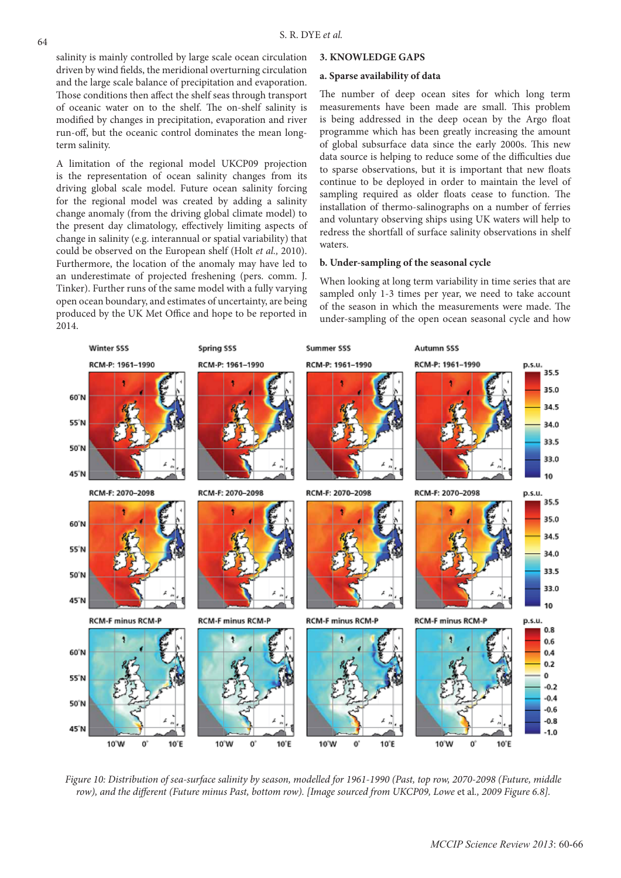salinity is mainly controlled by large scale ocean circulation driven by wind fields, the meridional overturning circulation and the large scale balance of precipitation and evaporation. Those conditions then affect the shelf seas through transport of oceanic water on to the shelf. The on-shelf salinity is modified by changes in precipitation, evaporation and river run-off, but the oceanic control dominates the mean longterm salinity.

A limitation of the regional model UKCP09 projection is the representation of ocean salinity changes from its driving global scale model. Future ocean salinity forcing for the regional model was created by adding a salinity change anomaly (from the driving global climate model) to the present day climatology, effectively limiting aspects of change in salinity (e.g. interannual or spatial variability) that could be observed on the European shelf (Holt *et al.,* 2010). Furthermore, the location of the anomaly may have led to an underestimate of projected freshening (pers. comm. J. Tinker). Further runs of the same model with a fully varying open ocean boundary, and estimates of uncertainty, are being produced by the UK Met Office and hope to be reported in 2014.

#### **3. KNOWLEDGE GAPS**

#### **a. Sparse availability of data**

The number of deep ocean sites for which long term measurements have been made are small. This problem is being addressed in the deep ocean by the Argo float programme which has been greatly increasing the amount of global subsurface data since the early 2000s. This new data source is helping to reduce some of the difficulties due to sparse observations, but it is important that new floats continue to be deployed in order to maintain the level of sampling required as older floats cease to function. The installation of thermo-salinographs on a number of ferries and voluntary observing ships using UK waters will help to redress the shortfall of surface salinity observations in shelf waters.

#### **b. Under-sampling of the seasonal cycle**

When looking at long term variability in time series that are sampled only 1-3 times per year, we need to take account of the season in which the measurements were made. The under-sampling of the open ocean seasonal cycle and how



*Figure 10: Distribution of sea-surface salinity by season, modelled for 1961-1990 (Past, top row, 2070-2098 (Future, middle row), and the different (Future minus Past, bottom row). [Image sourced from UKCP09, Lowe* et al*., 2009 Figure 6.8].*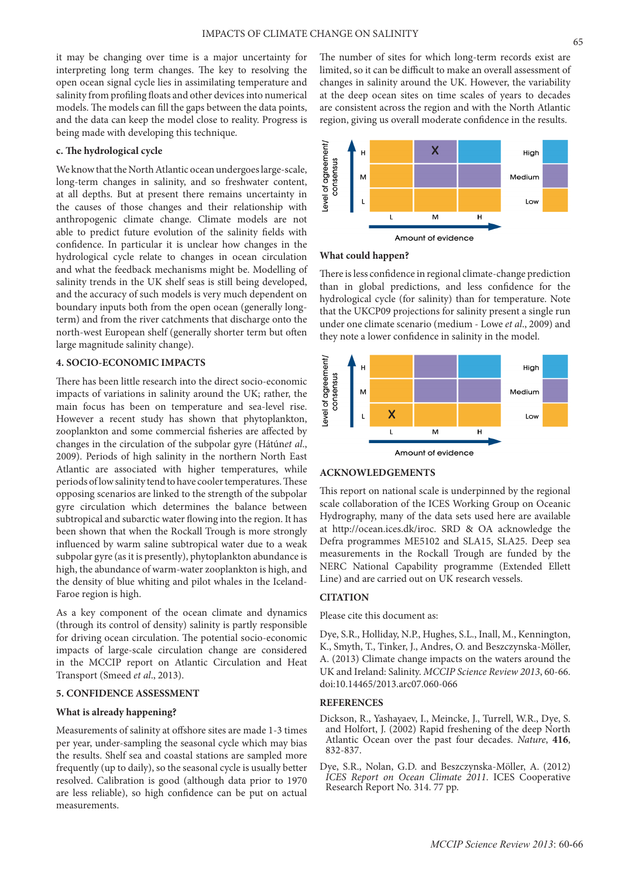it may be changing over time is a major uncertainty for interpreting long term changes. The key to resolving the open ocean signal cycle lies in assimilating temperature and salinity from profiling floats and other devices into numerical models. The models can fill the gaps between the data points, and the data can keep the model close to reality. Progress is being made with developing this technique.

#### **c. The hydrological cycle**

We know that the North Atlantic ocean undergoes large-scale, long-term changes in salinity, and so freshwater content, at all depths. But at present there remains uncertainty in the causes of those changes and their relationship with anthropogenic climate change. Climate models are not able to predict future evolution of the salinity fields with confidence. In particular it is unclear how changes in the hydrological cycle relate to changes in ocean circulation and what the feedback mechanisms might be. Modelling of salinity trends in the UK shelf seas is still being developed, and the accuracy of such models is very much dependent on boundary inputs both from the open ocean (generally longterm) and from the river catchments that discharge onto the north-west European shelf (generally shorter term but often large magnitude salinity change).

# **4. SOCIO-ECONOMIC IMPACTS**

There has been little research into the direct socio-economic impacts of variations in salinity around the UK; rather, the main focus has been on temperature and sea-level rise. However a recent study has shown that phytoplankton, zooplankton and some commercial fisheries are affected by changes in the circulation of the subpolar gyre (Hátún*et al*., 2009). Periods of high salinity in the northern North East Atlantic are associated with higher temperatures, while periods of low salinity tend to have cooler temperatures. These opposing scenarios are linked to the strength of the subpolar gyre circulation which determines the balance between subtropical and subarctic water flowing into the region. It has been shown that when the Rockall Trough is more strongly influenced by warm saline subtropical water due to a weak subpolar gyre (as it is presently), phytoplankton abundance is high, the abundance of warm-water zooplankton is high, and the density of blue whiting and pilot whales in the Iceland-Faroe region is high.

As a key component of the ocean climate and dynamics (through its control of density) salinity is partly responsible for driving ocean circulation. The potential socio-economic impacts of large-scale circulation change are considered in the MCCIP report on Atlantic Circulation and Heat Transport (Smeed *et al*., 2013).

#### **5. CONFIDENCE ASSESSMENT**

## **What is already happening?**

Measurements of salinity at offshore sites are made 1-3 times per year, under-sampling the seasonal cycle which may bias the results. Shelf sea and coastal stations are sampled more frequently (up to daily), so the seasonal cycle is usually better resolved. Calibration is good (although data prior to 1970 are less reliable), so high confidence can be put on actual measurements.

The number of sites for which long-term records exist are limited, so it can be difficult to make an overall assessment of changes in salinity around the UK. However, the variability at the deep ocean sites on time scales of years to decades are consistent across the region and with the North Atlantic region, giving us overall moderate confidence in the results.





There is less confidence in regional climate-change prediction than in global predictions, and less confidence for the hydrological cycle (for salinity) than for temperature. Note that the UKCP09 projections for salinity present a single run under one climate scenario (medium - Lowe *et al*., 2009) and they note a lower confidence in salinity in the model.



## **ACKNOWLEDGEMENTS**

This report on national scale is underpinned by the regional scale collaboration of the ICES Working Group on Oceanic Hydrography, many of the data sets used here are available at http://ocean.ices.dk/iroc. SRD & OA acknowledge the Defra programmes ME5102 and SLA15, SLA25. Deep sea measurements in the Rockall Trough are funded by the NERC National Capability programme (Extended Ellett Line) and are carried out on UK research vessels.

#### **CITATION**

Please cite this document as:

Dye, S.R., Holliday, N.P., Hughes, S.L., Inall, M., Kennington, K., Smyth, T., Tinker, J., Andres, O. and Beszczynska-Möller, A. (2013) Climate change impacts on the waters around the UK and Ireland: Salinity. *MCCIP Science Review 2013*, 60-66. doi:10.14465/2013.arc07.060-066

## **REFERENCES**

- Dickson, R., Yashayaev, I., Meincke, J., Turrell, W.R., Dye, S. and Holfort, J. (2002) Rapid freshening of the deep North Atlantic Ocean over the past four decades. *Nature*, **<sup>416</sup>**, 832-837.
- Dye, S.R., Nolan, G.D. and Beszczynska-Möller, A. (2012) *ICES Report on Ocean Climate 2011*. ICES Cooperative Research Report No. 314. 77 pp.